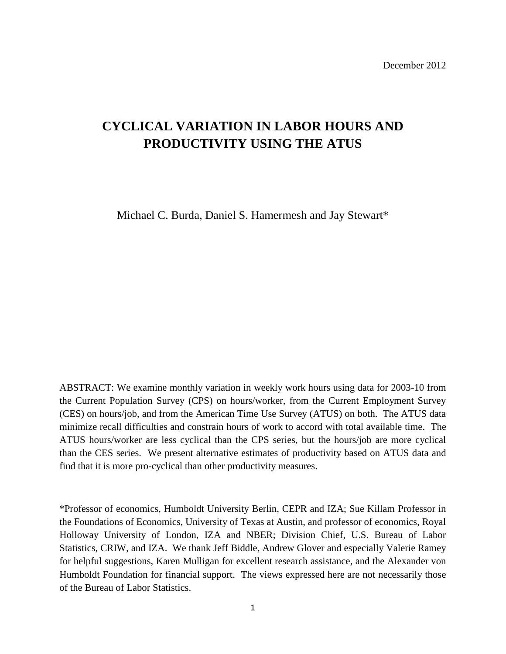December 2012

# **CYCLICAL VARIATION IN LABOR HOURS AND PRODUCTIVITY USING THE ATUS**

Michael C. Burda, Daniel S. Hamermesh and Jay Stewart\*

ABSTRACT: We examine monthly variation in weekly work hours using data for 2003-10 from the Current Population Survey (CPS) on hours/worker, from the Current Employment Survey (CES) on hours/job, and from the American Time Use Survey (ATUS) on both. The ATUS data minimize recall difficulties and constrain hours of work to accord with total available time. The ATUS hours/worker are less cyclical than the CPS series, but the hours/job are more cyclical than the CES series. We present alternative estimates of productivity based on ATUS data and find that it is more pro-cyclical than other productivity measures.

\*Professor of economics, Humboldt University Berlin, CEPR and IZA; Sue Killam Professor in the Foundations of Economics, University of Texas at Austin, and professor of economics, Royal Holloway University of London, IZA and NBER; Division Chief, U.S. Bureau of Labor Statistics, CRIW, and IZA. We thank Jeff Biddle, Andrew Glover and especially Valerie Ramey for helpful suggestions, Karen Mulligan for excellent research assistance, and the Alexander von Humboldt Foundation for financial support. The views expressed here are not necessarily those of the Bureau of Labor Statistics.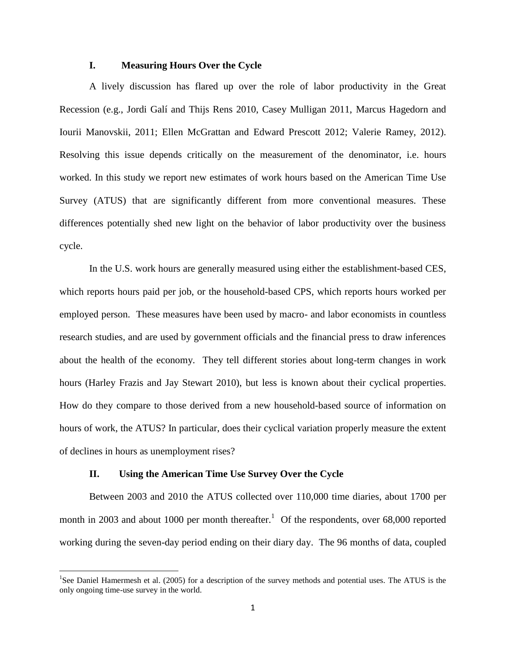### **I. Measuring Hours Over the Cycle**

A lively discussion has flared up over the role of labor productivity in the Great Recession (e.g., Jordi Galí and Thijs Rens 2010, Casey Mulligan 2011, Marcus Hagedorn and Iourii Manovskii, 2011; Ellen McGrattan and Edward Prescott 2012; Valerie Ramey, 2012). Resolving this issue depends critically on the measurement of the denominator, i.e. hours worked. In this study we report new estimates of work hours based on the American Time Use Survey (ATUS) that are significantly different from more conventional measures. These differences potentially shed new light on the behavior of labor productivity over the business cycle.

In the U.S. work hours are generally measured using either the establishment-based CES, which reports hours paid per job, or the household-based CPS, which reports hours worked per employed person. These measures have been used by macro- and labor economists in countless research studies, and are used by government officials and the financial press to draw inferences about the health of the economy. They tell different stories about long-term changes in work hours (Harley Frazis and Jay Stewart 2010), but less is known about their cyclical properties. How do they compare to those derived from a new household-based source of information on hours of work, the ATUS? In particular, does their cyclical variation properly measure the extent of declines in hours as unemployment rises?

### **II. Using the American Time Use Survey Over the Cycle**

 $\overline{\phantom{a}}$ 

Between 2003 and 2010 the ATUS collected over 110,000 time diaries, about 1700 per month in 2003 and about 1000 per month thereafter.<sup>1</sup> Of the respondents, over 68,000 reported working during the seven-day period ending on their diary day. The 96 months of data, coupled

<sup>&</sup>lt;sup>1</sup>See Daniel Hamermesh et al. (2005) for a description of the survey methods and potential uses. The ATUS is the only ongoing time-use survey in the world.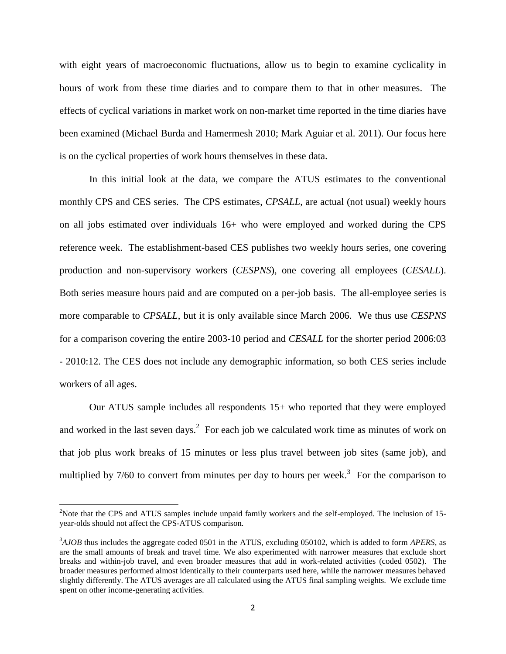with eight years of macroeconomic fluctuations, allow us to begin to examine cyclicality in hours of work from these time diaries and to compare them to that in other measures. The effects of cyclical variations in market work on non-market time reported in the time diaries have been examined (Michael Burda and Hamermesh 2010; Mark Aguiar et al. 2011). Our focus here is on the cyclical properties of work hours themselves in these data.

In this initial look at the data, we compare the ATUS estimates to the conventional monthly CPS and CES series. The CPS estimates, *CPSALL*, are actual (not usual) weekly hours on all jobs estimated over individuals 16+ who were employed and worked during the CPS reference week. The establishment-based CES publishes two weekly hours series, one covering production and non-supervisory workers (*CESPNS*), one covering all employees (*CESALL*). Both series measure hours paid and are computed on a per-job basis. The all-employee series is more comparable to *CPSALL*, but it is only available since March 2006. We thus use *CESPNS* for a comparison covering the entire 2003-10 period and *CESALL* for the shorter period 2006:03 - 2010:12. The CES does not include any demographic information, so both CES series include workers of all ages.

Our ATUS sample includes all respondents 15+ who reported that they were employed and worked in the last seven days.<sup>2</sup> For each job we calculated work time as minutes of work on that job plus work breaks of 15 minutes or less plus travel between job sites (same job), and multiplied by  $7/60$  to convert from minutes per day to hours per week.<sup>3</sup> For the comparison to

 $2$ Note that the CPS and ATUS samples include unpaid family workers and the self-employed. The inclusion of 15year-olds should not affect the CPS-ATUS comparison.

<sup>3</sup>*AJOB* thus includes the aggregate coded 0501 in the ATUS, excluding 050102, which is added to form *APERS*, as are the small amounts of break and travel time. We also experimented with narrower measures that exclude short breaks and within-job travel, and even broader measures that add in work-related activities (coded 0502). The broader measures performed almost identically to their counterparts used here, while the narrower measures behaved slightly differently. The ATUS averages are all calculated using the ATUS final sampling weights. We exclude time spent on other income-generating activities.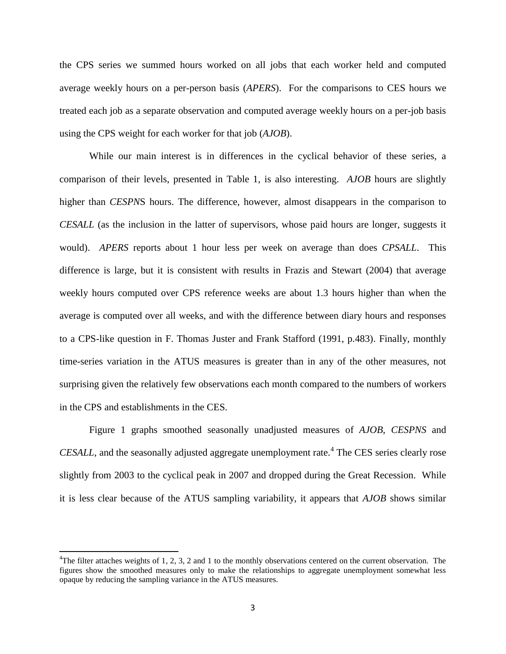the CPS series we summed hours worked on all jobs that each worker held and computed average weekly hours on a per-person basis (*APERS*). For the comparisons to CES hours we treated each job as a separate observation and computed average weekly hours on a per-job basis using the CPS weight for each worker for that job (*AJOB*).

While our main interest is in differences in the cyclical behavior of these series, a comparison of their levels, presented in Table 1, is also interesting. *AJOB* hours are slightly higher than *CESPN*S hours. The difference, however, almost disappears in the comparison to *CESALL* (as the inclusion in the latter of supervisors, whose paid hours are longer, suggests it would). *APERS* reports about 1 hour less per week on average than does *CPSALL*. This difference is large, but it is consistent with results in Frazis and Stewart (2004) that average weekly hours computed over CPS reference weeks are about 1.3 hours higher than when the average is computed over all weeks, and with the difference between diary hours and responses to a CPS-like question in F. Thomas Juster and Frank Stafford (1991, p.483). Finally, monthly time-series variation in the ATUS measures is greater than in any of the other measures, not surprising given the relatively few observations each month compared to the numbers of workers in the CPS and establishments in the CES.

Figure 1 graphs smoothed seasonally unadjusted measures of *AJOB*, *CESPNS* and *CESALL*, and the seasonally adjusted aggregate unemployment rate.<sup>4</sup> The CES series clearly rose slightly from 2003 to the cyclical peak in 2007 and dropped during the Great Recession. While it is less clear because of the ATUS sampling variability, it appears that *AJOB* shows similar

<sup>&</sup>lt;sup>4</sup>The filter attaches weights of 1, 2, 3, 2 and 1 to the monthly observations centered on the current observation. The figures show the smoothed measures only to make the relationships to aggregate unemployment somewhat less opaque by reducing the sampling variance in the ATUS measures.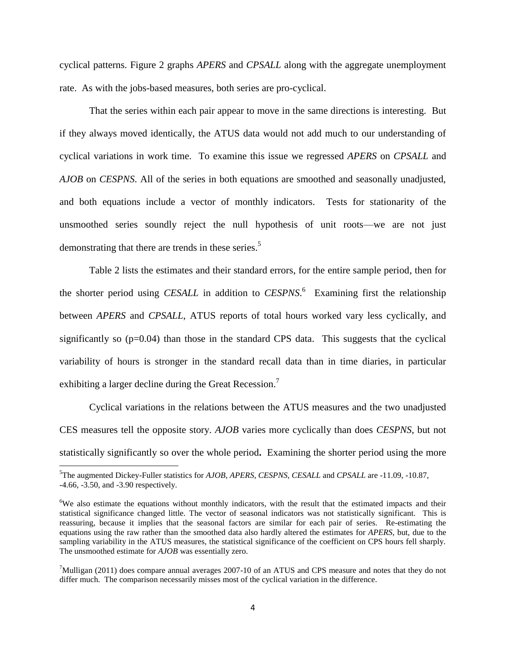cyclical patterns. Figure 2 graphs *APERS* and *CPSALL* along with the aggregate unemployment rate. As with the jobs-based measures, both series are pro-cyclical.

That the series within each pair appear to move in the same directions is interesting. But if they always moved identically, the ATUS data would not add much to our understanding of cyclical variations in work time. To examine this issue we regressed *APERS* on *CPSALL* and *AJOB* on *CESPNS*. All of the series in both equations are smoothed and seasonally unadjusted, and both equations include a vector of monthly indicators. Tests for stationarity of the unsmoothed series soundly reject the null hypothesis of unit roots—we are not just demonstrating that there are trends in these series.<sup>5</sup>

Table 2 lists the estimates and their standard errors, for the entire sample period, then for the shorter period using *CESALL* in addition to *CESPNS*. 6 Examining first the relationship between *APERS* and *CPSALL*, ATUS reports of total hours worked vary less cyclically, and significantly so (p=0.04) than those in the standard CPS data. This suggests that the cyclical variability of hours is stronger in the standard recall data than in time diaries, in particular exhibiting a larger decline during the Great Recession.<sup>7</sup>

Cyclical variations in the relations between the ATUS measures and the two unadjusted CES measures tell the opposite story. *AJOB* varies more cyclically than does *CESPNS*, but not statistically significantly so over the whole period**.** Examining the shorter period using the more

<sup>5</sup>The augmented Dickey-Fuller statistics for *AJOB*, *APERS*, *CESPNS*, *CESALL* and *CPSALL* are -11.09, -10.87, -4.66, -3.50, and -3.90 respectively.

<sup>&</sup>lt;sup>6</sup>We also estimate the equations without monthly indicators, with the result that the estimated impacts and their statistical significance changed little. The vector of seasonal indicators was not statistically significant. This is reassuring, because it implies that the seasonal factors are similar for each pair of series. Re-estimating the equations using the raw rather than the smoothed data also hardly altered the estimates for *APERS*, but, due to the sampling variability in the ATUS measures, the statistical significance of the coefficient on CPS hours fell sharply. The unsmoothed estimate for *AJOB* was essentially zero.

 $7$ Mulligan (2011) does compare annual averages 2007-10 of an ATUS and CPS measure and notes that they do not differ much. The comparison necessarily misses most of the cyclical variation in the difference.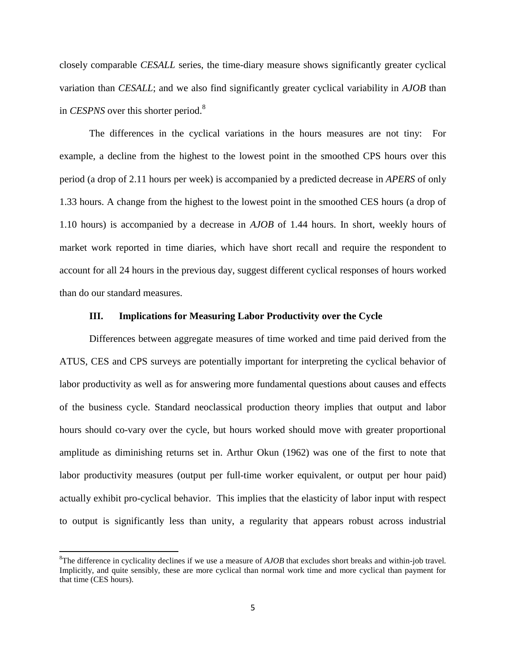closely comparable *CESALL* series, the time-diary measure shows significantly greater cyclical variation than *CESALL*; and we also find significantly greater cyclical variability in *AJOB* than in *CESPNS* over this shorter period. 8

The differences in the cyclical variations in the hours measures are not tiny: For example, a decline from the highest to the lowest point in the smoothed CPS hours over this period (a drop of 2.11 hours per week) is accompanied by a predicted decrease in *APERS* of only 1.33 hours. A change from the highest to the lowest point in the smoothed CES hours (a drop of 1.10 hours) is accompanied by a decrease in *AJOB* of 1.44 hours. In short, weekly hours of market work reported in time diaries, which have short recall and require the respondent to account for all 24 hours in the previous day, suggest different cyclical responses of hours worked than do our standard measures.

### **III. Implications for Measuring Labor Productivity over the Cycle**

Differences between aggregate measures of time worked and time paid derived from the ATUS, CES and CPS surveys are potentially important for interpreting the cyclical behavior of labor productivity as well as for answering more fundamental questions about causes and effects of the business cycle. Standard neoclassical production theory implies that output and labor hours should co-vary over the cycle, but hours worked should move with greater proportional amplitude as diminishing returns set in. Arthur Okun (1962) was one of the first to note that labor productivity measures (output per full-time worker equivalent, or output per hour paid) actually exhibit pro-cyclical behavior. This implies that the elasticity of labor input with respect to output is significantly less than unity, a regularity that appears robust across industrial

<sup>8</sup>The difference in cyclicality declines if we use a measure of *AJOB* that excludes short breaks and within-job travel*.* Implicitly, and quite sensibly, these are more cyclical than normal work time and more cyclical than payment for that time (CES hours).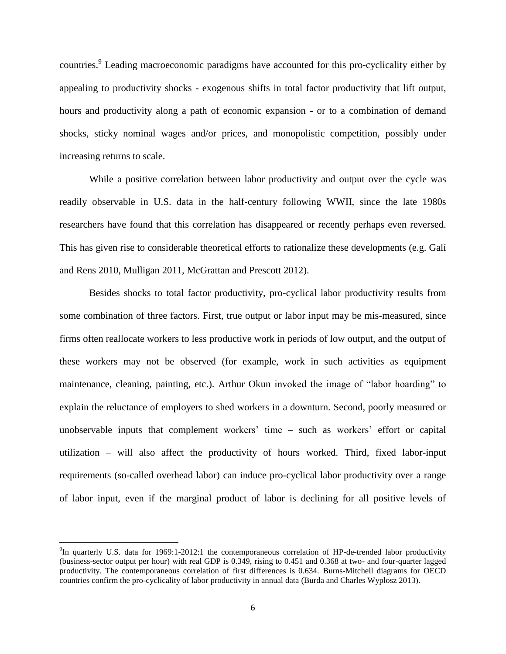countries.<sup>9</sup> Leading macroeconomic paradigms have accounted for this pro-cyclicality either by appealing to productivity shocks - exogenous shifts in total factor productivity that lift output, hours and productivity along a path of economic expansion - or to a combination of demand shocks, sticky nominal wages and/or prices, and monopolistic competition, possibly under increasing returns to scale.

While a positive correlation between labor productivity and output over the cycle was readily observable in U.S. data in the half-century following WWII, since the late 1980s researchers have found that this correlation has disappeared or recently perhaps even reversed. This has given rise to considerable theoretical efforts to rationalize these developments (e.g. Galí and Rens 2010, Mulligan 2011, McGrattan and Prescott 2012).

Besides shocks to total factor productivity, pro-cyclical labor productivity results from some combination of three factors. First, true output or labor input may be mis-measured, since firms often reallocate workers to less productive work in periods of low output, and the output of these workers may not be observed (for example, work in such activities as equipment maintenance, cleaning, painting, etc.). Arthur Okun invoked the image of "labor hoarding" to explain the reluctance of employers to shed workers in a downturn. Second, poorly measured or unobservable inputs that complement workers' time – such as workers' effort or capital utilization – will also affect the productivity of hours worked. Third, fixed labor-input requirements (so-called overhead labor) can induce pro-cyclical labor productivity over a range of labor input, even if the marginal product of labor is declining for all positive levels of

 $\overline{a}$ 

<sup>&</sup>lt;sup>9</sup>In quarterly U.S. data for 1969:1-2012:1 the contemporaneous correlation of HP-de-trended labor productivity (business-sector output per hour) with real GDP is 0.349, rising to 0.451 and 0.368 at two- and four-quarter lagged productivity. The contemporaneous correlation of first differences is 0.634. Burns-Mitchell diagrams for OECD countries confirm the pro-cyclicality of labor productivity in annual data (Burda and Charles Wyplosz 2013).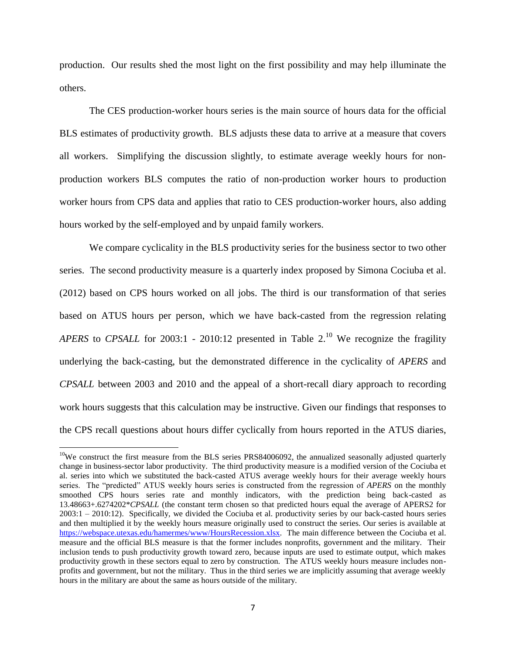production. Our results shed the most light on the first possibility and may help illuminate the others.

The CES production-worker hours series is the main source of hours data for the official BLS estimates of productivity growth. BLS adjusts these data to arrive at a measure that covers all workers. Simplifying the discussion slightly, to estimate average weekly hours for nonproduction workers BLS computes the ratio of non-production worker hours to production worker hours from CPS data and applies that ratio to CES production-worker hours, also adding hours worked by the self-employed and by unpaid family workers.

We compare cyclicality in the BLS productivity series for the business sector to two other series. The second productivity measure is a quarterly index proposed by Simona Cociuba et al. (2012) based on CPS hours worked on all jobs. The third is our transformation of that series based on ATUS hours per person, which we have back-casted from the regression relating *APERS* to *CPSALL* for 2003:1 - 2010:12 presented in Table 2. <sup>10</sup> We recognize the fragility underlying the back-casting, but the demonstrated difference in the cyclicality of *APERS* and *CPSALL* between 2003 and 2010 and the appeal of a short-recall diary approach to recording work hours suggests that this calculation may be instructive. Given our findings that responses to the CPS recall questions about hours differ cyclically from hours reported in the ATUS diaries,

l

<sup>&</sup>lt;sup>10</sup>We construct the first measure from the BLS series PRS84006092, the annualized seasonally adjusted quarterly change in business-sector labor productivity. The third productivity measure is a modified version of the Cociuba et al. series into which we substituted the back-casted ATUS average weekly hours for their average weekly hours series. The "predicted" ATUS weekly hours series is constructed from the regression of *APERS* on the monthly smoothed CPS hours series rate and monthly indicators, with the prediction being back-casted as 13.48663+.6274202\**CPSALL* (the constant term chosen so that predicted hours equal the average of APERS2 for 2003:1 – 2010:12). Specifically, we divided the Cociuba et al. productivity series by our back-casted hours series and then multiplied it by the weekly hours measure originally used to construct the series. Our series is available at [https://webspace.utexas.edu/hamermes/www/HoursRecession.xlsx.](https://webspace.utexas.edu/hamermes/www/HoursRecession.xlsx) The main difference between the Cociuba et al. measure and the official BLS measure is that the former includes nonprofits, government and the military. Their inclusion tends to push productivity growth toward zero, because inputs are used to estimate output, which makes productivity growth in these sectors equal to zero by construction. The ATUS weekly hours measure includes nonprofits and government, but not the military. Thus in the third series we are implicitly assuming that average weekly hours in the military are about the same as hours outside of the military.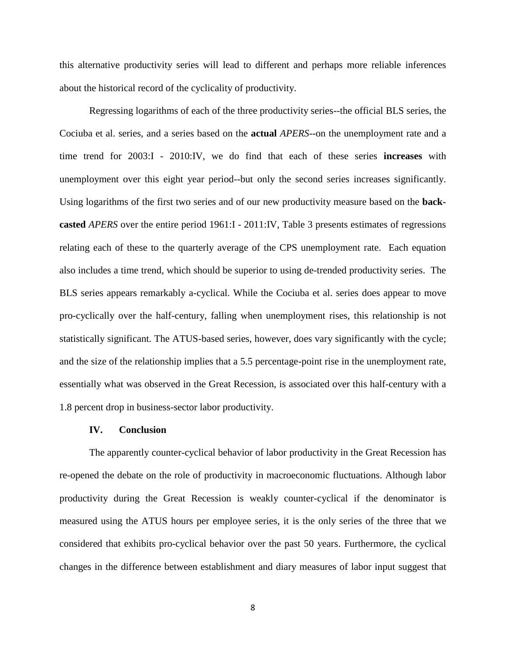this alternative productivity series will lead to different and perhaps more reliable inferences about the historical record of the cyclicality of productivity.

Regressing logarithms of each of the three productivity series--the official BLS series, the Cociuba et al. series, and a series based on the **actual** *APERS*--on the unemployment rate and a time trend for 2003:I - 2010:IV, we do find that each of these series **increases** with unemployment over this eight year period--but only the second series increases significantly. Using logarithms of the first two series and of our new productivity measure based on the **backcasted** *APERS* over the entire period 1961:I - 2011:IV, Table 3 presents estimates of regressions relating each of these to the quarterly average of the CPS unemployment rate. Each equation also includes a time trend, which should be superior to using de-trended productivity series. The BLS series appears remarkably a-cyclical. While the Cociuba et al. series does appear to move pro-cyclically over the half-century, falling when unemployment rises, this relationship is not statistically significant. The ATUS-based series, however, does vary significantly with the cycle; and the size of the relationship implies that a 5.5 percentage-point rise in the unemployment rate, essentially what was observed in the Great Recession, is associated over this half-century with a 1.8 percent drop in business-sector labor productivity.

#### **IV. Conclusion**

The apparently counter-cyclical behavior of labor productivity in the Great Recession has re-opened the debate on the role of productivity in macroeconomic fluctuations. Although labor productivity during the Great Recession is weakly counter-cyclical if the denominator is measured using the ATUS hours per employee series, it is the only series of the three that we considered that exhibits pro-cyclical behavior over the past 50 years. Furthermore, the cyclical changes in the difference between establishment and diary measures of labor input suggest that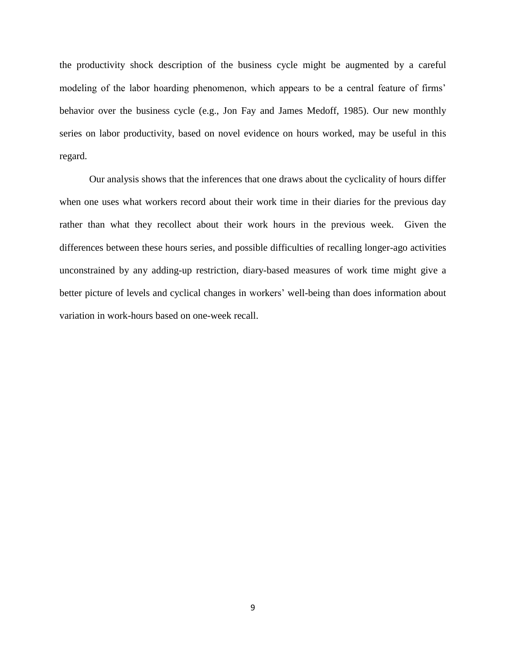the productivity shock description of the business cycle might be augmented by a careful modeling of the labor hoarding phenomenon, which appears to be a central feature of firms' behavior over the business cycle (e.g., Jon Fay and James Medoff, 1985). Our new monthly series on labor productivity, based on novel evidence on hours worked, may be useful in this regard.

Our analysis shows that the inferences that one draws about the cyclicality of hours differ when one uses what workers record about their work time in their diaries for the previous day rather than what they recollect about their work hours in the previous week. Given the differences between these hours series, and possible difficulties of recalling longer-ago activities unconstrained by any adding-up restriction, diary-based measures of work time might give a better picture of levels and cyclical changes in workers' well-being than does information about variation in work-hours based on one-week recall.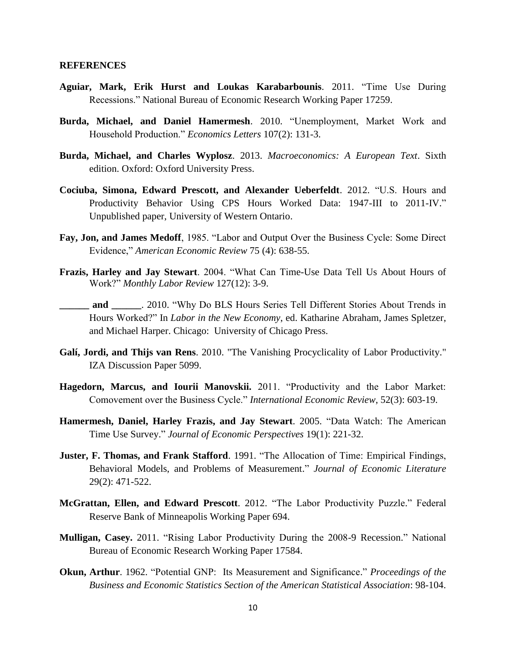#### **REFERENCES**

- **Aguiar, Mark, Erik Hurst and Loukas Karabarbounis**. 2011. "Time Use During Recessions." National Bureau of Economic Research Working Paper 17259.
- **Burda, Michael, and Daniel Hamermesh**. 2010. "Unemployment, Market Work and Household Production." *Economics Letters* 107(2): 131-3.
- **Burda, Michael, and Charles Wyplosz**. 2013. *Macroeconomics: A European Text*. Sixth edition. Oxford: Oxford University Press.
- **Cociuba, Simona, Edward Prescott, and Alexander Ueberfeldt**. 2012. "U.S. Hours and Productivity Behavior Using CPS Hours Worked Data: 1947-III to 2011-IV." Unpublished paper, University of Western Ontario.
- **Fay, Jon, and James Medoff**, 1985. "Labor and Output Over the Business Cycle: Some Direct Evidence," *American Economic Review* 75 (4): 638-55.
- **Frazis, Harley and Jay Stewart**. 2004. "What Can Time-Use Data Tell Us About Hours of Work?" *Monthly Labor Review* 127(12): 3-9.
- **and** 2010. "Why Do BLS Hours Series Tell Different Stories About Trends in Hours Worked?" In *Labor in the New Economy*, ed. Katharine Abraham, James Spletzer, and Michael Harper. Chicago: University of Chicago Press.
- **Galí, Jordi, and Thijs van Rens**. 2010. "The Vanishing Procyclicality of Labor Productivity." IZA Discussion Paper 5099.
- **Hagedorn, Marcus, and Iourii Manovskii.** 2011. "Productivity and the Labor Market: Comovement over the Business Cycle." *International Economic Review*, 52(3): 603-19.
- **Hamermesh, Daniel, Harley Frazis, and Jay Stewart**. 2005. "Data Watch: The American Time Use Survey." *Journal of Economic Perspectives* 19(1): 221-32.
- **Juster, F. Thomas, and Frank Stafford**. 1991. "The Allocation of Time: Empirical Findings, Behavioral Models, and Problems of Measurement." *Journal of Economic Literature* 29(2): 471-522.
- **McGrattan, Ellen, and Edward Prescott**. 2012. "The Labor Productivity Puzzle." Federal Reserve Bank of Minneapolis Working Paper 694.
- **Mulligan, Casey.** 2011. "Rising Labor Productivity During the 2008-9 Recession." National Bureau of Economic Research Working Paper 17584.
- **Okun, Arthur**. 1962. "Potential GNP: Its Measurement and Significance." *Proceedings of the Business and Economic Statistics Section of the American Statistical Association*: 98-104.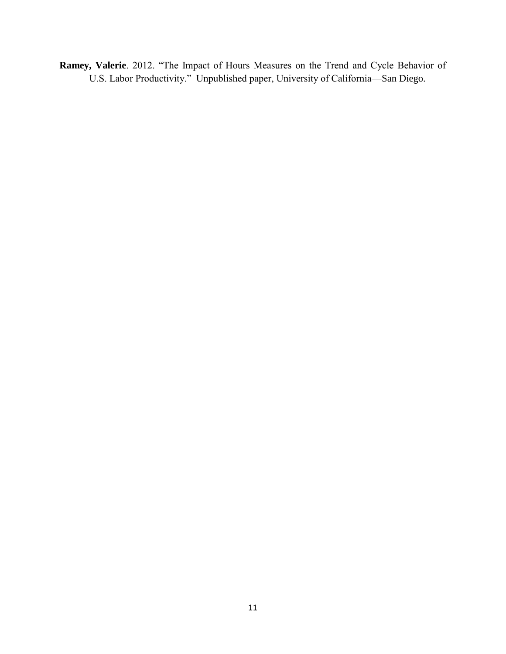**Ramey, Valerie**. 2012. "The Impact of Hours Measures on the Trend and Cycle Behavior of U.S. Labor Productivity." Unpublished paper, University of California—San Diego.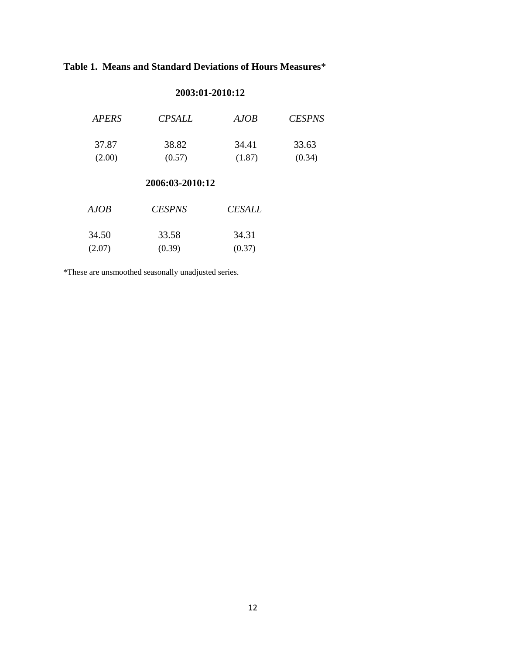### **Table 1. Means and Standard Deviations of Hours Measures**\*

### **2003:01-2010:12**

| <b>APERS</b> | <i>CPSALL</i> | AJOB   | <b>CESPNS</b> |
|--------------|---------------|--------|---------------|
| 37.87        | 38.82         | 34.41  | 33.63         |
| (2.00)       | (0.57)        | (1.87) | (0.34)        |

### **2006:03-2010:12**

| AJOB   | <b>CESPNS</b> | <i><b>CESALL</b></i> |
|--------|---------------|----------------------|
| 34.50  | 33.58         | 34.31                |
| (2.07) | (0.39)        | (0.37)               |

\*These are unsmoothed seasonally unadjusted series.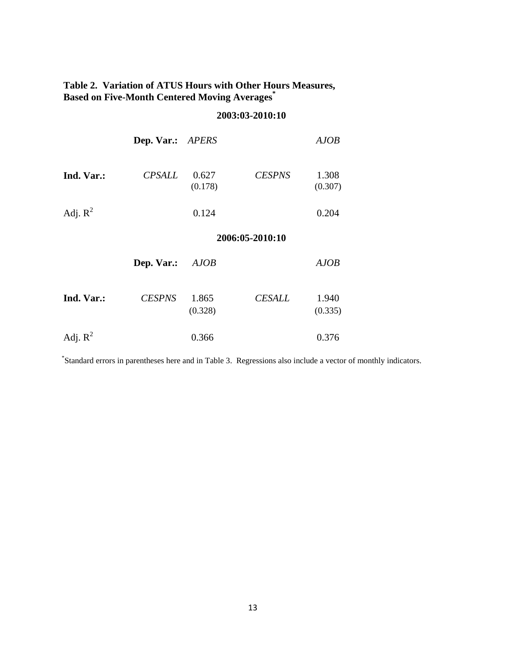### **Table 2. Variation of ATUS Hours with Other Hours Measures, Based on Five-Month Centered Moving Averages\***

### **2003:03-2010:10**

|            | Dep. Var.: APERS |                  |                 | <b>AJOB</b>      |
|------------|------------------|------------------|-----------------|------------------|
| Ind. Var.: | <b>CPSALL</b>    | 0.627<br>(0.178) | <b>CESPNS</b>   | 1.308<br>(0.307) |
| Adj. $R^2$ |                  | 0.124            |                 | 0.204            |
|            |                  |                  | 2006:05-2010:10 |                  |
|            | Dep. Var.:       | AJOB             |                 | <b>AJOB</b>      |
| Ind. Var.: | <b>CESPNS</b>    | 1.865<br>(0.328) | <b>CESALL</b>   | 1.940<br>(0.335) |
| Adj. $R^2$ |                  | 0.366            |                 | 0.376            |

\* Standard errors in parentheses here and in Table 3. Regressions also include a vector of monthly indicators.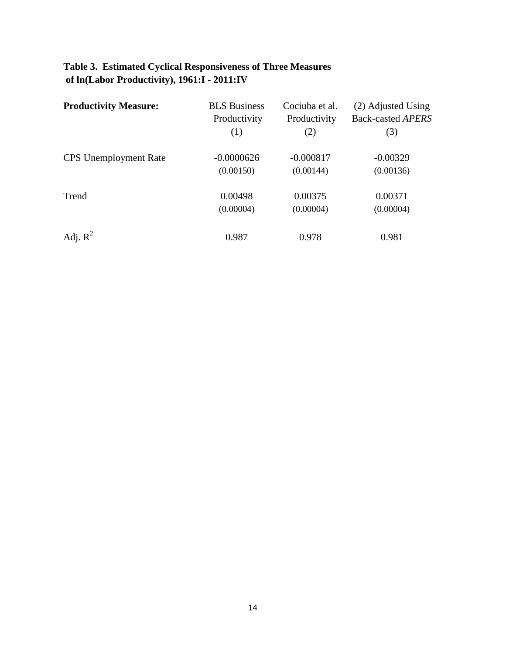## **Table 3. Estimated Cyclical Responsiveness of Three Measures of ln(Labor Productivity), 1961:I - 2011:IV**

| <b>Productivity Measure:</b> | <b>BLS</b> Business<br>Productivity | Cociuba et al.<br>Productivity | (2) Adjusted Using<br><b>Back-casted APERS</b> |
|------------------------------|-------------------------------------|--------------------------------|------------------------------------------------|
|                              | (1)                                 | (2)                            | (3)                                            |
| <b>CPS</b> Unemployment Rate | $-0.0000626$                        | $-0.000817$                    | $-0.00329$                                     |
|                              | (0.00150)                           | (0.00144)                      | (0.00136)                                      |
| Trend                        | 0.00498                             | 0.00375                        | 0.00371                                        |
|                              | (0.00004)                           | (0.00004)                      | (0.00004)                                      |
| Adj. $R^2$                   | 0.987                               | 0.978                          | 0.981                                          |